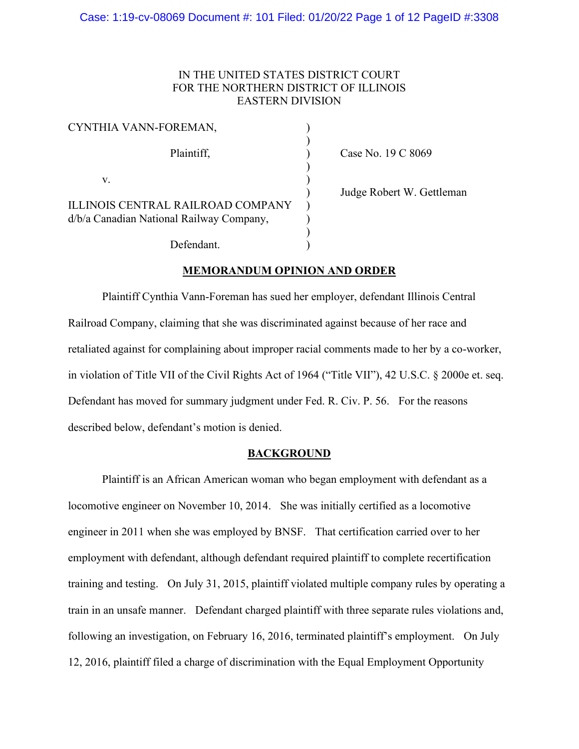# IN THE UNITED STATES DISTRICT COURT FOR THE NORTHERN DISTRICT OF ILLINOIS EASTERN DIVISION

| CYNTHIA VANN-FOREMAN,                                                                |  |
|--------------------------------------------------------------------------------------|--|
| Plaintiff,                                                                           |  |
| V.                                                                                   |  |
| <b>ILLINOIS CENTRAL RAILROAD COMPANY</b><br>d/b/a Canadian National Railway Company, |  |
| Defendant.                                                                           |  |

) Case No. 19 C 8069

) Judge Robert W. Gettleman

## **MEMORANDUM OPINION AND ORDER**

Plaintiff Cynthia Vann-Foreman has sued her employer, defendant Illinois Central Railroad Company, claiming that she was discriminated against because of her race and retaliated against for complaining about improper racial comments made to her by a co-worker, in violation of Title VII of the Civil Rights Act of 1964 ("Title VII"), 42 U.S.C. § 2000e et. seq. Defendant has moved for summary judgment under Fed. R. Civ. P. 56. For the reasons described below, defendant's motion is denied.

### **BACKGROUND**

Plaintiff is an African American woman who began employment with defendant as a locomotive engineer on November 10, 2014. She was initially certified as a locomotive engineer in 2011 when she was employed by BNSF. That certification carried over to her employment with defendant, although defendant required plaintiff to complete recertification training and testing. On July 31, 2015, plaintiff violated multiple company rules by operating a train in an unsafe manner. Defendant charged plaintiff with three separate rules violations and, following an investigation, on February 16, 2016, terminated plaintiff's employment. On July 12, 2016, plaintiff filed a charge of discrimination with the Equal Employment Opportunity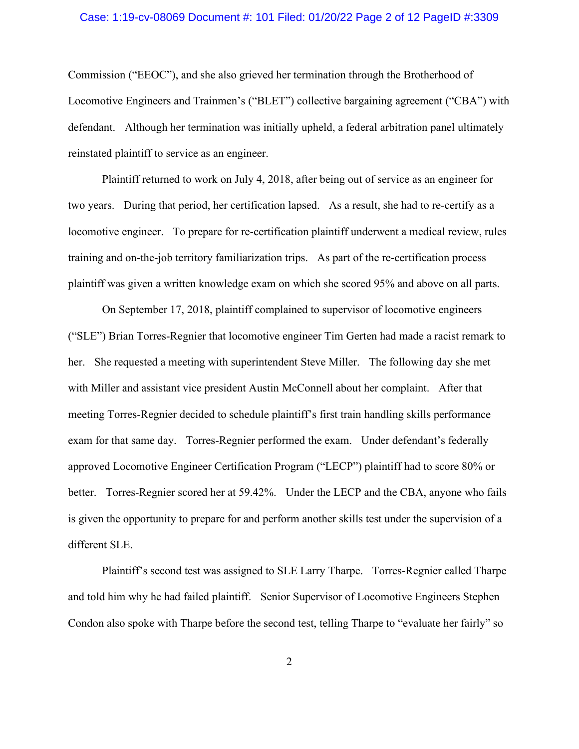#### Case: 1:19-cv-08069 Document #: 101 Filed: 01/20/22 Page 2 of 12 PageID #:3309

Commission ("EEOC"), and she also grieved her termination through the Brotherhood of Locomotive Engineers and Trainmen's ("BLET") collective bargaining agreement ("CBA") with defendant. Although her termination was initially upheld, a federal arbitration panel ultimately reinstated plaintiff to service as an engineer.

Plaintiff returned to work on July 4, 2018, after being out of service as an engineer for two years. During that period, her certification lapsed. As a result, she had to re-certify as a locomotive engineer. To prepare for re-certification plaintiff underwent a medical review, rules training and on-the-job territory familiarization trips. As part of the re-certification process plaintiff was given a written knowledge exam on which she scored 95% and above on all parts.

On September 17, 2018, plaintiff complained to supervisor of locomotive engineers ("SLE") Brian Torres-Regnier that locomotive engineer Tim Gerten had made a racist remark to her. She requested a meeting with superintendent Steve Miller. The following day she met with Miller and assistant vice president Austin McConnell about her complaint. After that meeting Torres-Regnier decided to schedule plaintiff's first train handling skills performance exam for that same day. Torres-Regnier performed the exam. Under defendant's federally approved Locomotive Engineer Certification Program ("LECP") plaintiff had to score 80% or better. Torres-Regnier scored her at 59.42%. Under the LECP and the CBA, anyone who fails is given the opportunity to prepare for and perform another skills test under the supervision of a different SLE.

Plaintiff's second test was assigned to SLE Larry Tharpe. Torres-Regnier called Tharpe and told him why he had failed plaintiff. Senior Supervisor of Locomotive Engineers Stephen Condon also spoke with Tharpe before the second test, telling Tharpe to "evaluate her fairly" so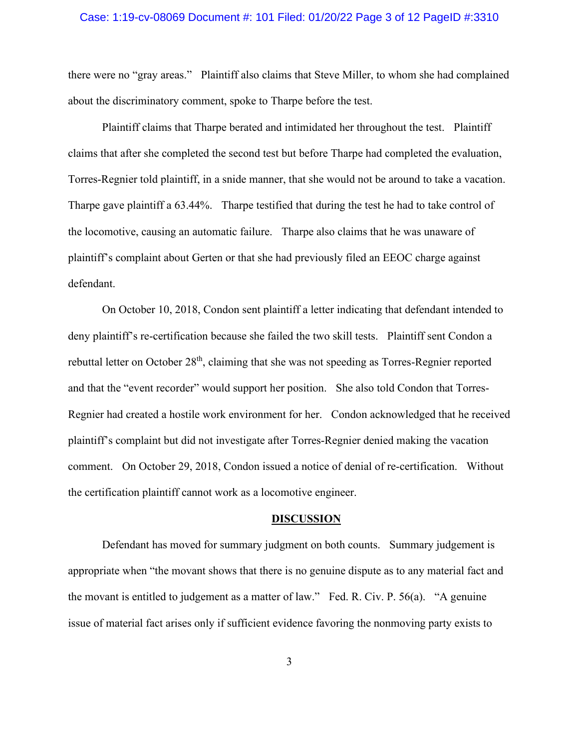#### Case: 1:19-cv-08069 Document #: 101 Filed: 01/20/22 Page 3 of 12 PageID #:3310

there were no "gray areas." Plaintiff also claims that Steve Miller, to whom she had complained about the discriminatory comment, spoke to Tharpe before the test.

Plaintiff claims that Tharpe berated and intimidated her throughout the test. Plaintiff claims that after she completed the second test but before Tharpe had completed the evaluation, Torres-Regnier told plaintiff, in a snide manner, that she would not be around to take a vacation. Tharpe gave plaintiff a 63.44%. Tharpe testified that during the test he had to take control of the locomotive, causing an automatic failure. Tharpe also claims that he was unaware of plaintiff's complaint about Gerten or that she had previously filed an EEOC charge against defendant.

On October 10, 2018, Condon sent plaintiff a letter indicating that defendant intended to deny plaintiff's re-certification because she failed the two skill tests. Plaintiff sent Condon a rebuttal letter on October 28<sup>th</sup>, claiming that she was not speeding as Torres-Regnier reported and that the "event recorder" would support her position. She also told Condon that Torres-Regnier had created a hostile work environment for her. Condon acknowledged that he received plaintiff's complaint but did not investigate after Torres-Regnier denied making the vacation comment. On October 29, 2018, Condon issued a notice of denial of re-certification. Without the certification plaintiff cannot work as a locomotive engineer.

#### **DISCUSSION**

Defendant has moved for summary judgment on both counts. Summary judgement is appropriate when "the movant shows that there is no genuine dispute as to any material fact and the movant is entitled to judgement as a matter of law." Fed. R. Civ. P. 56(a). "A genuine issue of material fact arises only if sufficient evidence favoring the nonmoving party exists to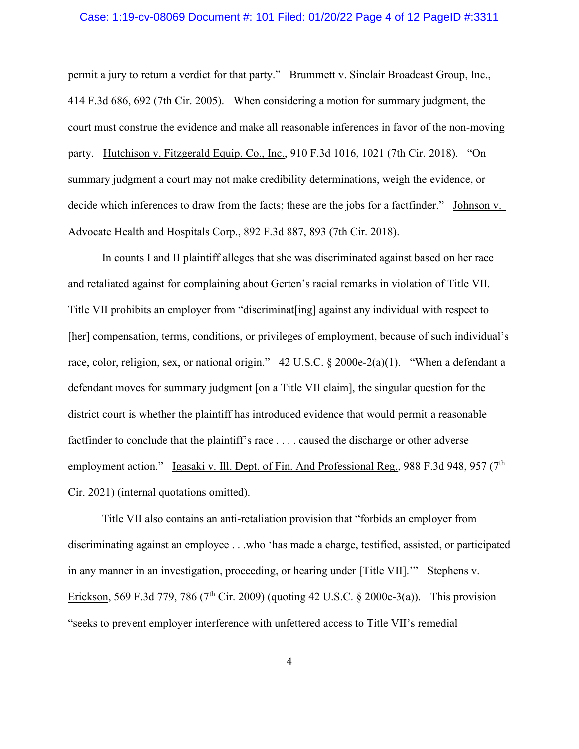#### Case: 1:19-cv-08069 Document #: 101 Filed: 01/20/22 Page 4 of 12 PageID #:3311

permit a jury to return a verdict for that party." Brummett v. Sinclair Broadcast Group, Inc., 414 F.3d 686, 692 (7th Cir. 2005). When considering a motion for summary judgment, the court must construe the evidence and make all reasonable inferences in favor of the non-moving party. Hutchison v. Fitzgerald Equip. Co., Inc., 910 F.3d 1016, 1021 (7th Cir. 2018). "On summary judgment a court may not make credibility determinations, weigh the evidence, or decide which inferences to draw from the facts; these are the jobs for a factfinder." Johnson v. Advocate Health and Hospitals Corp., 892 F.3d 887, 893 (7th Cir. 2018).

In counts I and II plaintiff alleges that she was discriminated against based on her race and retaliated against for complaining about Gerten's racial remarks in violation of Title VII. Title VII prohibits an employer from "discriminat[ing] against any individual with respect to [her] compensation, terms, conditions, or privileges of employment, because of such individual's race, color, religion, sex, or national origin." 42 U.S.C. § 2000e-2(a)(1). "When a defendant a defendant moves for summary judgment [on a Title VII claim], the singular question for the district court is whether the plaintiff has introduced evidence that would permit a reasonable factfinder to conclude that the plaintiff's race . . . . caused the discharge or other adverse employment action." Igasaki v. Ill. Dept. of Fin. And Professional Reg., 988 F.3d 948, 957 (7<sup>th</sup>) Cir. 2021) (internal quotations omitted).

Title VII also contains an anti-retaliation provision that "forbids an employer from discriminating against an employee . . .who 'has made a charge, testified, assisted, or participated in any manner in an investigation, proceeding, or hearing under [Title VII].'" Stephens v. Erickson, 569 F.3d 779, 786 (7<sup>th</sup> Cir. 2009) (quoting 42 U.S.C. § 2000e-3(a)). This provision "seeks to prevent employer interference with unfettered access to Title VII's remedial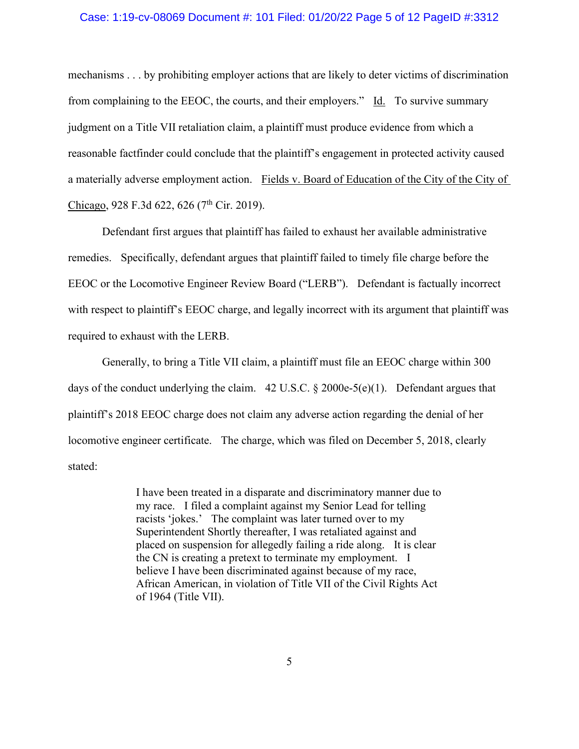#### Case: 1:19-cv-08069 Document #: 101 Filed: 01/20/22 Page 5 of 12 PageID #:3312

mechanisms . . . by prohibiting employer actions that are likely to deter victims of discrimination from complaining to the EEOC, the courts, and their employers." Id. To survive summary judgment on a Title VII retaliation claim, a plaintiff must produce evidence from which a reasonable factfinder could conclude that the plaintiff's engagement in protected activity caused a materially adverse employment action. Fields v. Board of Education of the City of the City of Chicago, 928 F.3d 622, 626 (7<sup>th</sup> Cir. 2019).

Defendant first argues that plaintiff has failed to exhaust her available administrative remedies. Specifically, defendant argues that plaintiff failed to timely file charge before the EEOC or the Locomotive Engineer Review Board ("LERB"). Defendant is factually incorrect with respect to plaintiff's EEOC charge, and legally incorrect with its argument that plaintiff was required to exhaust with the LERB.

Generally, to bring a Title VII claim, a plaintiff must file an EEOC charge within 300 days of the conduct underlying the claim. 42 U.S.C. § 2000e-5(e)(1). Defendant argues that plaintiff's 2018 EEOC charge does not claim any adverse action regarding the denial of her locomotive engineer certificate. The charge, which was filed on December 5, 2018, clearly stated:

> I have been treated in a disparate and discriminatory manner due to my race. I filed a complaint against my Senior Lead for telling racists 'jokes.' The complaint was later turned over to my Superintendent Shortly thereafter, I was retaliated against and placed on suspension for allegedly failing a ride along. It is clear the CN is creating a pretext to terminate my employment. I believe I have been discriminated against because of my race, African American, in violation of Title VII of the Civil Rights Act of 1964 (Title VII).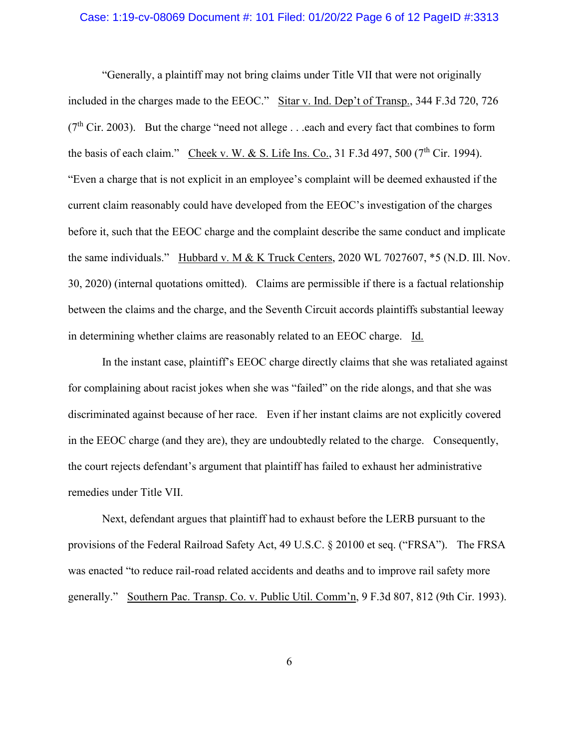#### Case: 1:19-cv-08069 Document #: 101 Filed: 01/20/22 Page 6 of 12 PageID #:3313

"Generally, a plaintiff may not bring claims under Title VII that were not originally included in the charges made to the EEOC." Sitar v. Ind. Dep't of Transp., 344 F.3d 720, 726  $(7<sup>th</sup> Cir. 2003)$ . But the charge "need not allege . . .each and every fact that combines to form the basis of each claim." Cheek v. W. & S. Life Ins. Co., 31 F.3d 497, 500 ( $7<sup>th</sup>$  Cir. 1994). "Even a charge that is not explicit in an employee's complaint will be deemed exhausted if the current claim reasonably could have developed from the EEOC's investigation of the charges before it, such that the EEOC charge and the complaint describe the same conduct and implicate the same individuals." Hubbard v. M & K Truck Centers, 2020 WL 7027607, \*5 (N.D. Ill. Nov. 30, 2020) (internal quotations omitted). Claims are permissible if there is a factual relationship between the claims and the charge, and the Seventh Circuit accords plaintiffs substantial leeway in determining whether claims are reasonably related to an EEOC charge. Id.

In the instant case, plaintiff's EEOC charge directly claims that she was retaliated against for complaining about racist jokes when she was "failed" on the ride alongs, and that she was discriminated against because of her race. Even if her instant claims are not explicitly covered in the EEOC charge (and they are), they are undoubtedly related to the charge. Consequently, the court rejects defendant's argument that plaintiff has failed to exhaust her administrative remedies under Title VII.

Next, defendant argues that plaintiff had to exhaust before the LERB pursuant to the provisions of the Federal Railroad Safety Act, 49 U.S.C. § 20100 et seq. ("FRSA"). The FRSA was enacted "to reduce rail-road related accidents and deaths and to improve rail safety more generally." Southern Pac. Transp. Co. v. Public Util. Comm'n, 9 F.3d 807, 812 (9th Cir. 1993).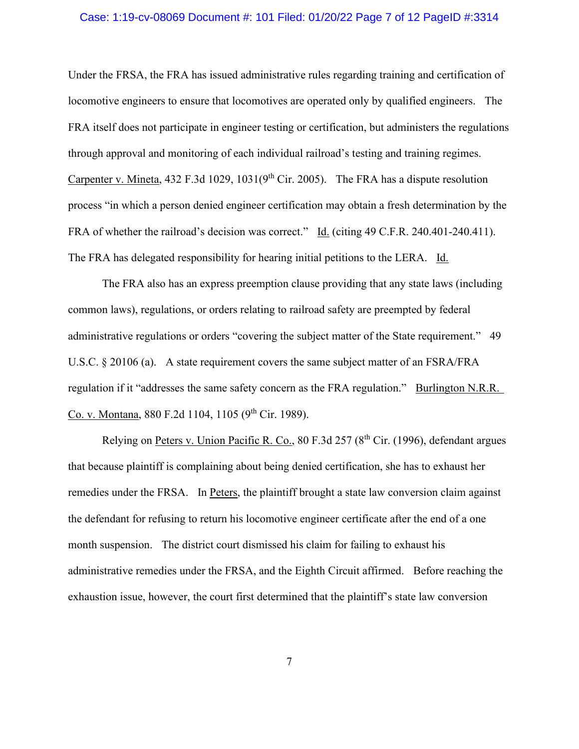#### Case: 1:19-cv-08069 Document #: 101 Filed: 01/20/22 Page 7 of 12 PageID #:3314

Under the FRSA, the FRA has issued administrative rules regarding training and certification of locomotive engineers to ensure that locomotives are operated only by qualified engineers. The FRA itself does not participate in engineer testing or certification, but administers the regulations through approval and monitoring of each individual railroad's testing and training regimes. Carpenter v. Mineta,  $432$  F.3d  $1029$ ,  $1031(9<sup>th</sup>)$  Cir. 2005). The FRA has a dispute resolution process "in which a person denied engineer certification may obtain a fresh determination by the FRA of whether the railroad's decision was correct." Id. (citing 49 C.F.R. 240.401-240.411). The FRA has delegated responsibility for hearing initial petitions to the LERA. Id.

The FRA also has an express preemption clause providing that any state laws (including common laws), regulations, or orders relating to railroad safety are preempted by federal administrative regulations or orders "covering the subject matter of the State requirement." 49 U.S.C. § 20106 (a). A state requirement covers the same subject matter of an FSRA/FRA regulation if it "addresses the same safety concern as the FRA regulation." Burlington N.R.R. Co. v. Montana, 880 F.2d 1104, 1105 (9<sup>th</sup> Cir. 1989).

Relying on Peters v. Union Pacific R. Co., 80 F.3d 257 (8<sup>th</sup> Cir. (1996), defendant argues that because plaintiff is complaining about being denied certification, she has to exhaust her remedies under the FRSA. In Peters, the plaintiff brought a state law conversion claim against the defendant for refusing to return his locomotive engineer certificate after the end of a one month suspension. The district court dismissed his claim for failing to exhaust his administrative remedies under the FRSA, and the Eighth Circuit affirmed. Before reaching the exhaustion issue, however, the court first determined that the plaintiff's state law conversion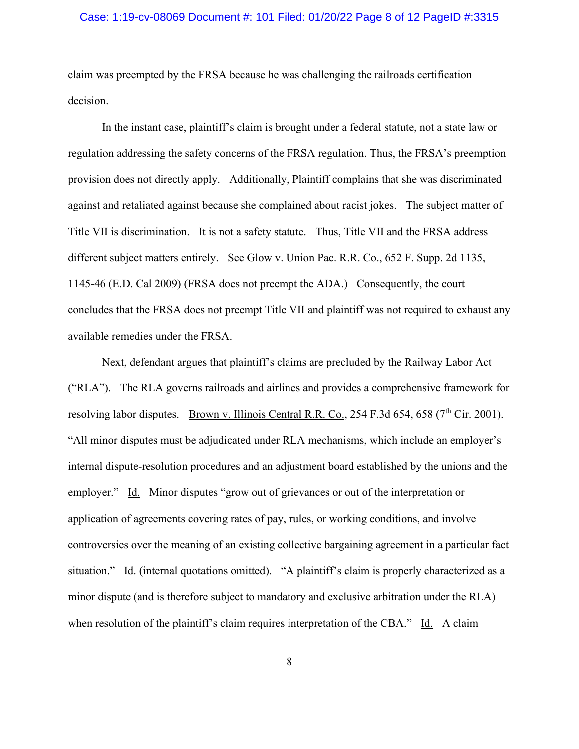### Case: 1:19-cv-08069 Document #: 101 Filed: 01/20/22 Page 8 of 12 PageID #:3315

claim was preempted by the FRSA because he was challenging the railroads certification decision.

In the instant case, plaintiff's claim is brought under a federal statute, not a state law or regulation addressing the safety concerns of the FRSA regulation. Thus, the FRSA's preemption provision does not directly apply. Additionally, Plaintiff complains that she was discriminated against and retaliated against because she complained about racist jokes. The subject matter of Title VII is discrimination. It is not a safety statute. Thus, Title VII and the FRSA address different subject matters entirely. See Glow v. Union Pac. R.R. Co., 652 F. Supp. 2d 1135, 1145-46 (E.D. Cal 2009) (FRSA does not preempt the ADA.) Consequently, the court concludes that the FRSA does not preempt Title VII and plaintiff was not required to exhaust any available remedies under the FRSA.

Next, defendant argues that plaintiff's claims are precluded by the Railway Labor Act ("RLA"). The RLA governs railroads and airlines and provides a comprehensive framework for resolving labor disputes. Brown v. Illinois Central R.R. Co., 254 F.3d 654, 658 ( $7<sup>th</sup>$  Cir. 2001). "All minor disputes must be adjudicated under RLA mechanisms, which include an employer's internal dispute-resolution procedures and an adjustment board established by the unions and the employer." Id. Minor disputes "grow out of grievances or out of the interpretation or application of agreements covering rates of pay, rules, or working conditions, and involve controversies over the meaning of an existing collective bargaining agreement in a particular fact situation." Id. (internal quotations omitted). "A plaintiff's claim is properly characterized as a minor dispute (and is therefore subject to mandatory and exclusive arbitration under the RLA) when resolution of the plaintiff's claim requires interpretation of the CBA." Id. A claim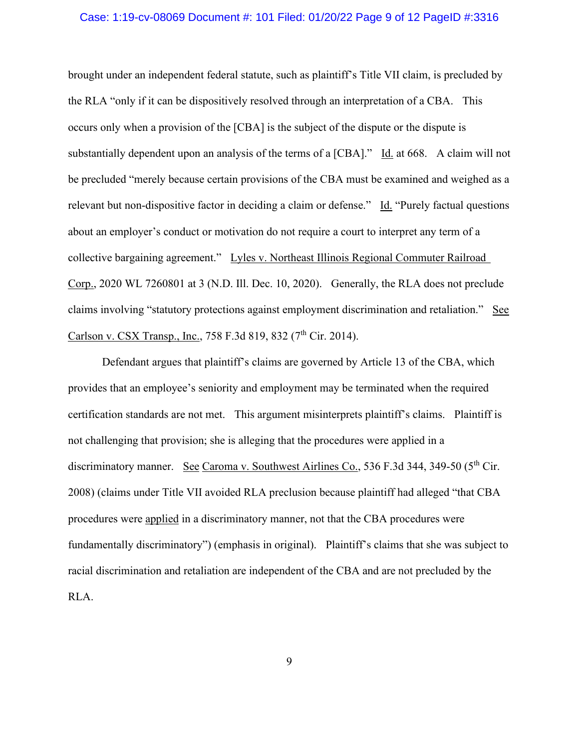#### Case: 1:19-cv-08069 Document #: 101 Filed: 01/20/22 Page 9 of 12 PageID #:3316

brought under an independent federal statute, such as plaintiff's Title VII claim, is precluded by the RLA "only if it can be dispositively resolved through an interpretation of a CBA. This occurs only when a provision of the [CBA] is the subject of the dispute or the dispute is substantially dependent upon an analysis of the terms of a [CBA]." Id. at 668. A claim will not be precluded "merely because certain provisions of the CBA must be examined and weighed as a relevant but non-dispositive factor in deciding a claim or defense." Id. "Purely factual questions about an employer's conduct or motivation do not require a court to interpret any term of a collective bargaining agreement." Lyles v. Northeast Illinois Regional Commuter Railroad Corp., 2020 WL 7260801 at 3 (N.D. Ill. Dec. 10, 2020). Generally, the RLA does not preclude claims involving "statutory protections against employment discrimination and retaliation." See Carlson v. CSX Transp., Inc., 758 F.3d 819, 832 (7<sup>th</sup> Cir. 2014).

Defendant argues that plaintiff's claims are governed by Article 13 of the CBA, which provides that an employee's seniority and employment may be terminated when the required certification standards are not met. This argument misinterprets plaintiff's claims. Plaintiff is not challenging that provision; she is alleging that the procedures were applied in a discriminatory manner. See Caroma v. Southwest Airlines Co., 536 F.3d 344, 349-50 (5<sup>th</sup> Cir. 2008) (claims under Title VII avoided RLA preclusion because plaintiff had alleged "that CBA procedures were applied in a discriminatory manner, not that the CBA procedures were fundamentally discriminatory") (emphasis in original). Plaintiff's claims that she was subject to racial discrimination and retaliation are independent of the CBA and are not precluded by the RLA.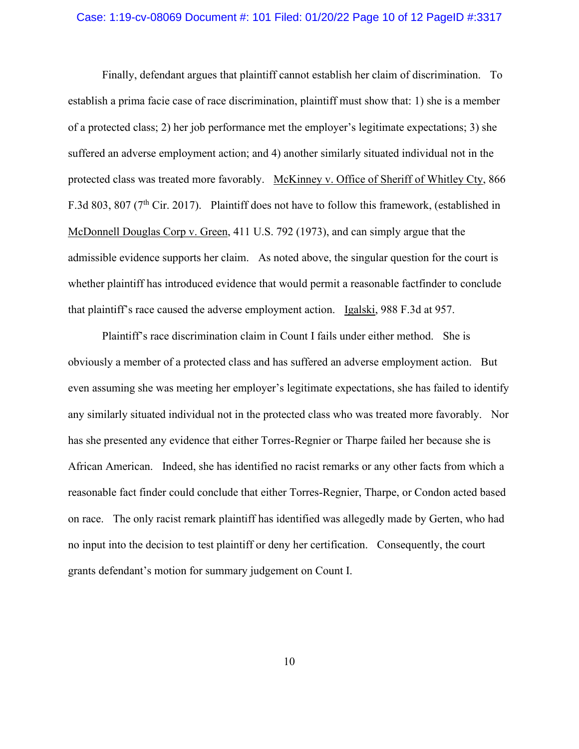### Case: 1:19-cv-08069 Document #: 101 Filed: 01/20/22 Page 10 of 12 PageID #:3317

Finally, defendant argues that plaintiff cannot establish her claim of discrimination. To establish a prima facie case of race discrimination, plaintiff must show that: 1) she is a member of a protected class; 2) her job performance met the employer's legitimate expectations; 3) she suffered an adverse employment action; and 4) another similarly situated individual not in the protected class was treated more favorably. McKinney v. Office of Sheriff of Whitley Cty, 866 F.3d 803, 807 (7<sup>th</sup> Cir. 2017). Plaintiff does not have to follow this framework, (established in McDonnell Douglas Corp v. Green, 411 U.S. 792 (1973), and can simply argue that the admissible evidence supports her claim. As noted above, the singular question for the court is whether plaintiff has introduced evidence that would permit a reasonable factfinder to conclude that plaintiff's race caused the adverse employment action. Igalski, 988 F.3d at 957.

Plaintiff's race discrimination claim in Count I fails under either method. She is obviously a member of a protected class and has suffered an adverse employment action. But even assuming she was meeting her employer's legitimate expectations, she has failed to identify any similarly situated individual not in the protected class who was treated more favorably. Nor has she presented any evidence that either Torres-Regnier or Tharpe failed her because she is African American. Indeed, she has identified no racist remarks or any other facts from which a reasonable fact finder could conclude that either Torres-Regnier, Tharpe, or Condon acted based on race. The only racist remark plaintiff has identified was allegedly made by Gerten, who had no input into the decision to test plaintiff or deny her certification. Consequently, the court grants defendant's motion for summary judgement on Count I.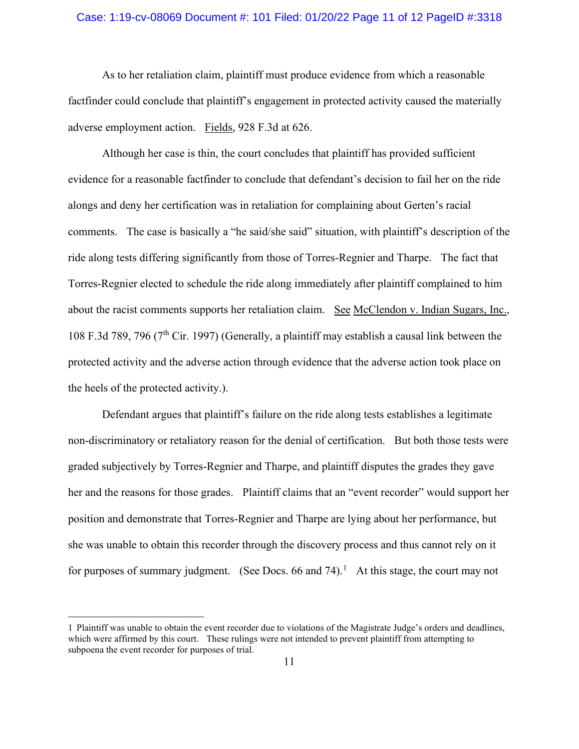### Case: 1:19-cv-08069 Document #: 101 Filed: 01/20/22 Page 11 of 12 PageID #:3318

As to her retaliation claim, plaintiff must produce evidence from which a reasonable factfinder could conclude that plaintiff's engagement in protected activity caused the materially adverse employment action. Fields, 928 F.3d at 626.

Although her case is thin, the court concludes that plaintiff has provided sufficient evidence for a reasonable factfinder to conclude that defendant's decision to fail her on the ride alongs and deny her certification was in retaliation for complaining about Gerten's racial comments. The case is basically a "he said/she said" situation, with plaintiff's description of the ride along tests differing significantly from those of Torres-Regnier and Tharpe. The fact that Torres-Regnier elected to schedule the ride along immediately after plaintiff complained to him about the racist comments supports her retaliation claim. See McClendon v. Indian Sugars, Inc., 108 F.3d 789, 796 (7th Cir. 1997) (Generally, a plaintiff may establish a causal link between the protected activity and the adverse action through evidence that the adverse action took place on the heels of the protected activity.).

Defendant argues that plaintiff's failure on the ride along tests establishes a legitimate non-discriminatory or retaliatory reason for the denial of certification. But both those tests were graded subjectively by Torres-Regnier and Tharpe, and plaintiff disputes the grades they gave her and the reasons for those grades. Plaintiff claims that an "event recorder" would support her position and demonstrate that Torres-Regnier and Tharpe are lying about her performance, but she was unable to obtain this recorder through the discovery process and thus cannot rely on it for purposes of summary judgment. (See Docs. 66 and 74).<sup>[1](#page-10-0)</sup> At this stage, the court may not

<span id="page-10-0"></span><sup>1</sup> Plaintiff was unable to obtain the event recorder due to violations of the Magistrate Judge's orders and deadlines, which were affirmed by this court. These rulings were not intended to prevent plaintiff from attempting to subpoena the event recorder for purposes of trial.